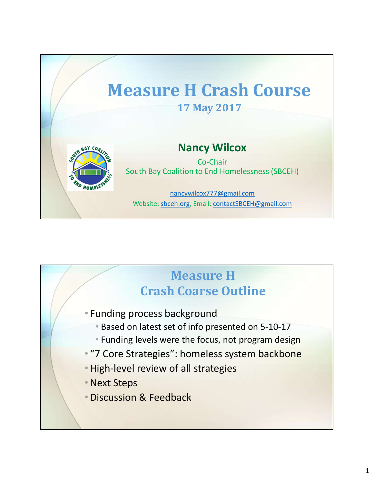

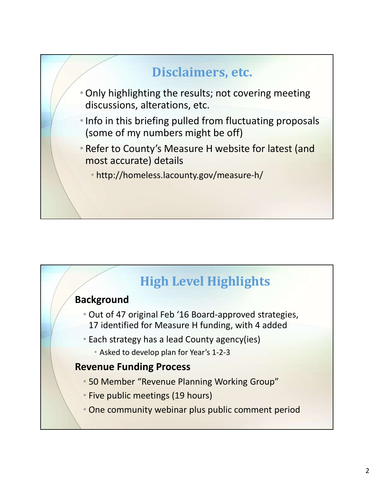



## **Background**

- Out of 47 original Feb '16 Board-approved strategies, 17 identified for Measure H funding, with 4 added
- Each strategy has a lead County agency(ies)
	- Asked to develop plan for Year's 1-2-3

## Revenue Funding Process

- 50 Member "Revenue Planning Working Group"
- Five public meetings (19 hours)
- One community webinar plus public comment period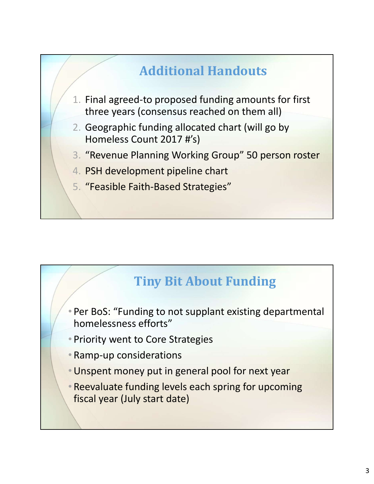# Additional Handouts

- 1. Final agreed-to proposed funding amounts for first three years (consensus reached on them all)
- 2. Geographic funding allocated chart (will go by Homeless Count 2017 #'s)
- 3. "Revenue Planning Working Group" 50 person roster
- 4. PSH development pipeline chart
- 5. "Feasible Faith-Based Strategies"

## Tiny Bit About Funding

• Per BoS: "Funding to not supplant existing departmental homelessness efforts"

- Priority went to Core Strategies
- Ramp-up considerations
- •Unspent money put in general pool for next year
- Reevaluate funding levels each spring for upcoming fiscal year (July start date)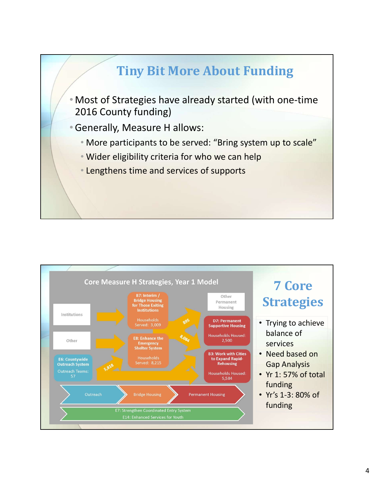

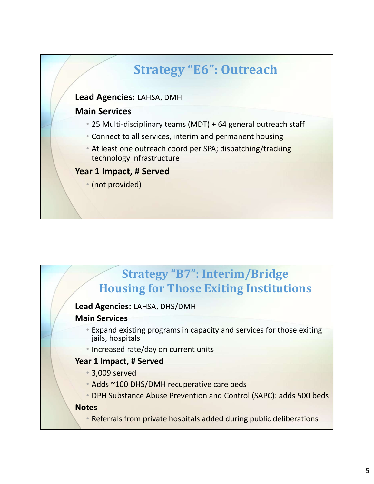

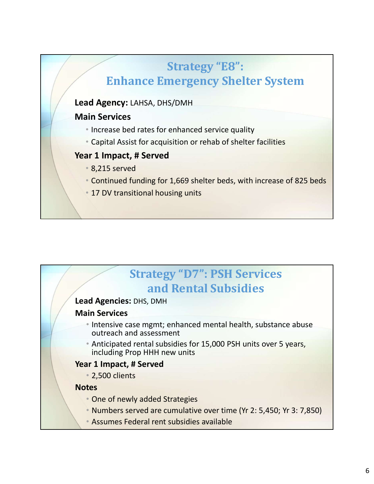## Strategy "E8": Enhance Emergency Shelter System

#### Lead Agency: LAHSA, DHS/DMH

#### Main Services

- Increase bed rates for enhanced service quality
- Capital Assist for acquisition or rehab of shelter facilities

#### Year 1 Impact, # Served

- 8,215 served
- Continued funding for 1,669 shelter beds, with increase of 825 beds
- 17 DV transitional housing units

# **Strategy "D7": PSH Services**<br> **and Rental Subsidies**<br> **therefore**<br> **intervices**<br> **intervices**<br> **interviewed are assessment**<br> **interviewed**<br> **interviewed**<br> **including Prop HHH new units**<br> **including Prop HHH new units**<br> **i** Strategy "D7": PSH Services and Rental Subsidies

#### Lead Agencies: DHS, DMH

#### Main Services

- Intensive case mgmt; enhanced mental health, substance abuse outreach and assessment
- Anticipated rental subsidies for 15,000 PSH units over 5 years, including Prop HHH new units

#### Year 1 Impact, # Served

• 2,500 clients

#### **Notes**

- One of newly added Strategies
- 
-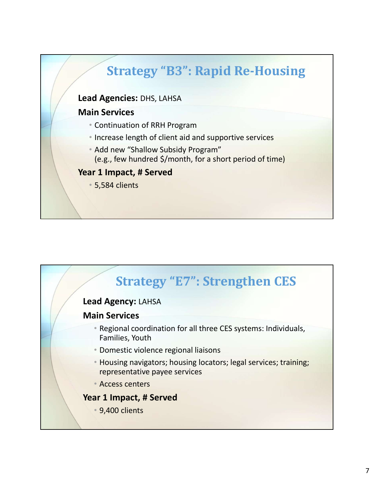

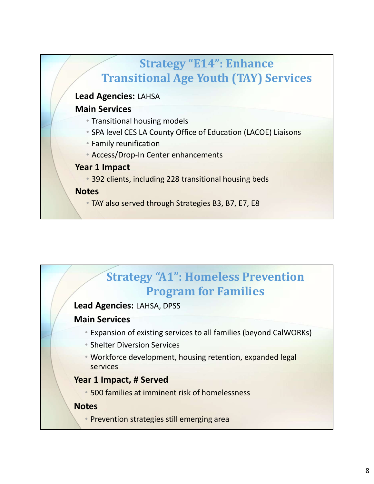

## Strategy "A1": Homeless Prevention Program for Families

#### Lead Agencies: LAHSA, DPSS

#### Main Services

- Expansion of existing services to all families (beyond CalWORKs)
- Shelter Diversion Services
- Workforce development, housing retention, expanded legal services

#### Year 1 Impact, # Served

• 500 families at imminent risk of homelessness

#### **Notes**

• Prevention strategies still emerging area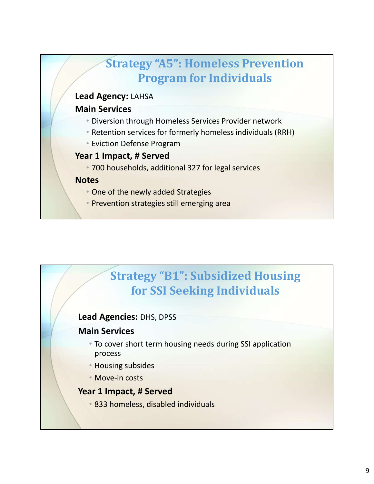

## Strategy "B1": Subsidized Housing for SSI Seeking Individuals

#### Lead Agencies: DHS, DPSS

#### Main Services

- To cover short term housing needs during SSI application process
- Housing subsides
- Move-in costs

#### Year 1 Impact, # Served

• 833 homeless, disabled individuals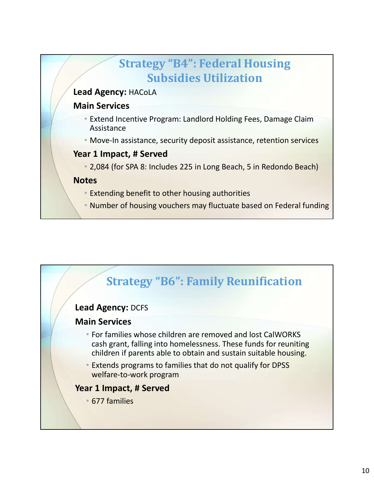

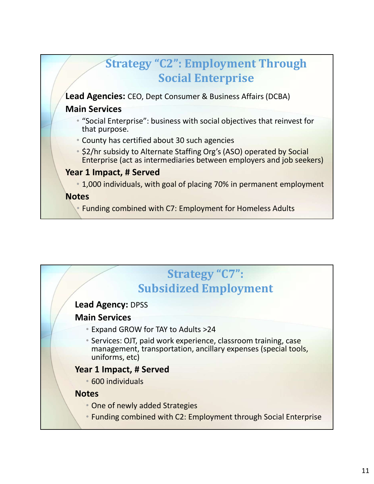

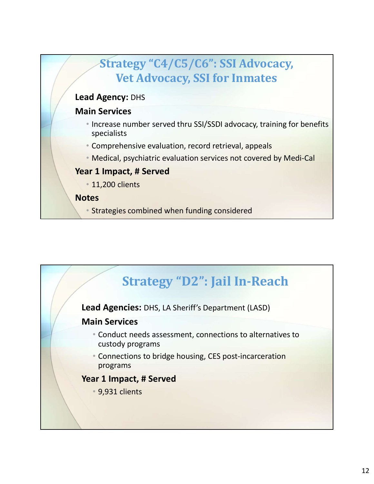

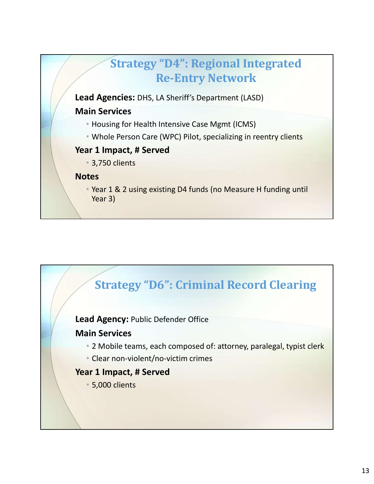

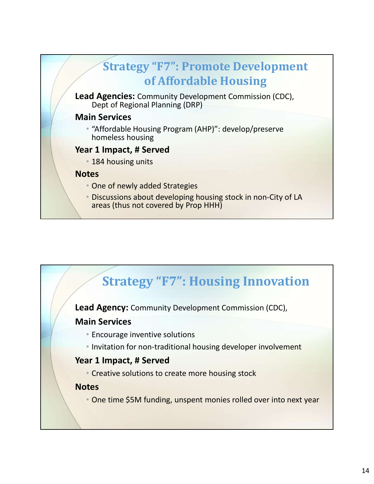

## Strategy "F7": Housing Innovation

Lead Agency: Community Development Commission (CDC),

#### Main Services

- Encourage inventive solutions
- Invitation for non-traditional housing developer involvement

#### Year 1 Impact, # Served

• Creative solutions to create more housing stock

#### **Notes**

• One time \$5M funding, unspent monies rolled over into next year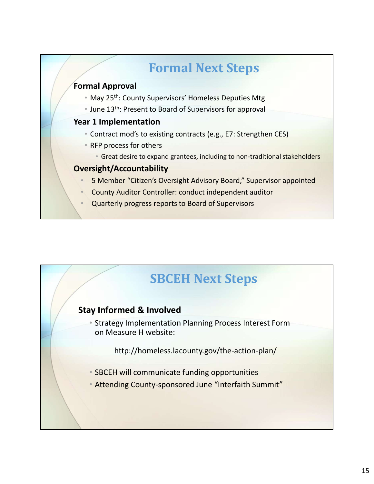# Formal Next Steps

#### Formal Approval

- May 25<sup>th</sup>: County Supervisors' Homeless Deputies Mtg
- June 13<sup>th</sup>: Present to Board of Supervisors for approval

#### Year 1 Implementation

- Contract mod's to existing contracts (e.g., E7: Strengthen CES)
- RFP process for others
	- Great desire to expand grantees, including to non-traditional stakeholders

#### Oversight/Accountability

- 5 Member "Citizen's Oversight Advisory Board," Supervisor appointed
- County Auditor Controller: conduct independent auditor
- Quarterly progress reports to Board of Supervisors